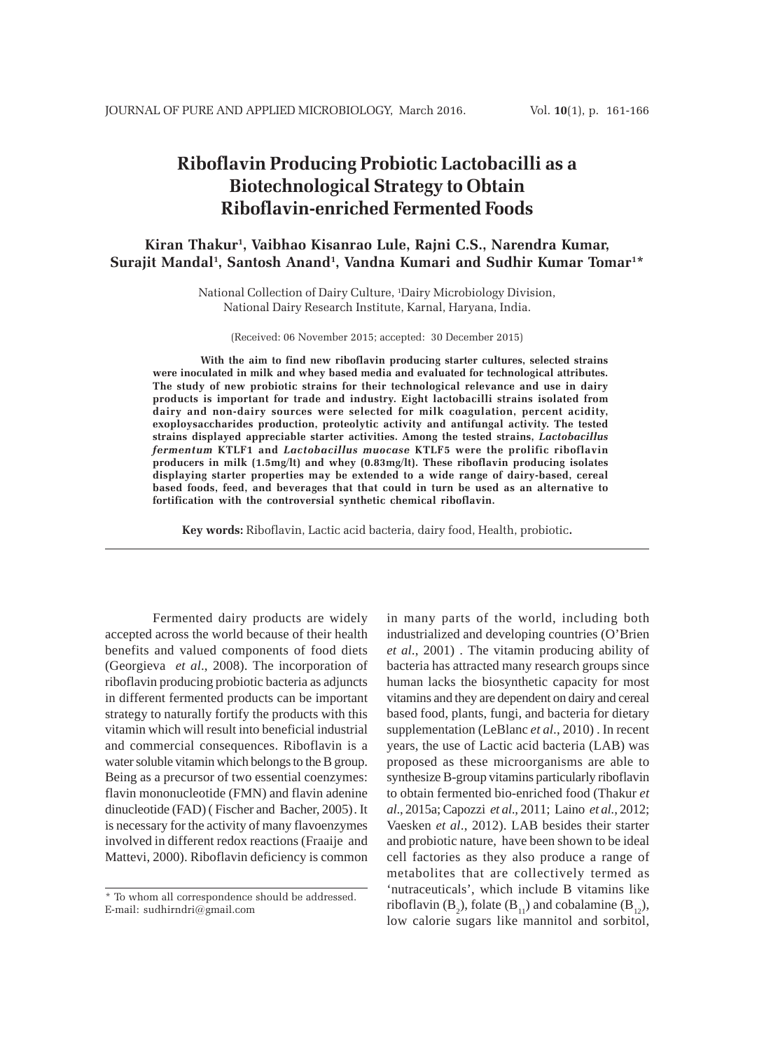# **Riboflavin Producing Probiotic Lactobacilli as a Biotechnological Strategy to Obtain Riboflavin-enriched Fermented Foods**

## **Kiran Thakur1 , Vaibhao Kisanrao Lule, Rajni C.S., Narendra Kumar,** Surajit Mandal<sup>1</sup>, Santosh Anand<sup>1</sup>, Vandna Kumari and Sudhir Kumar Tomar<sup>1\*</sup>

National Collection of Dairy Culture, 1 Dairy Microbiology Division, National Dairy Research Institute, Karnal, Haryana, India.

(Received: 06 November 2015; accepted: 30 December 2015)

**With the aim to find new riboflavin producing starter cultures, selected strains were inoculated in milk and whey based media and evaluated for technological attributes. The study of new probiotic strains for their technological relevance and use in dairy products is important for trade and industry. Eight lactobacilli strains isolated from dairy and non-dairy sources were selected for milk coagulation, percent acidity, exoploysaccharides production, proteolytic activity and antifungal activity. The tested strains displayed appreciable starter activities. Among the tested strains,** *Lactobacillus fermentum* **KTLF1 and** *Lactobacillus muocase* **KTLF5 were the prolific riboflavin producers in milk (1.5mg/lt) and whey (0.83mg/lt). These riboflavin producing isolates displaying starter properties may be extended to a wide range of dairy-based, cereal based foods, feed, and beverages that that could in turn be used as an alternative to fortification with the controversial synthetic chemical riboflavin.**

**Key words:** Riboflavin, Lactic acid bacteria, dairy food, Health, probiotic**.**

Fermented dairy products are widely accepted across the world because of their health benefits and valued components of food diets (Georgieva *et al*., 2008). The incorporation of riboflavin producing probiotic bacteria as adjuncts in different fermented products can be important strategy to naturally fortify the products with this vitamin which will result into beneficial industrial and commercial consequences. Riboflavin is a water soluble vitamin which belongs to the B group. Being as a precursor of two essential coenzymes: flavin mononucleotide (FMN) and flavin adenine dinucleotide (FAD) ( Fischer and Bacher, 2005). It is necessary for the activity of many flavoenzymes involved in different redox reactions (Fraaije and Mattevi, 2000). Riboflavin deficiency is common

in many parts of the world, including both industrialized and developing countries (O'Brien *et al*., 2001) . The vitamin producing ability of bacteria has attracted many research groups since human lacks the biosynthetic capacity for most vitamins and they are dependent on dairy and cereal based food, plants, fungi, and bacteria for dietary supplementation (LeBlanc *et al*., 2010) . In recent years, the use of Lactic acid bacteria (LAB) was proposed as these microorganisms are able to synthesize B-group vitamins particularly riboflavin to obtain fermented bio-enriched food (Thakur *et al*., 2015a; Capozzi *et al*., 2011; Laino *et al.*, 2012; Vaesken *et al*., 2012). LAB besides their starter and probiotic nature, have been shown to be ideal cell factories as they also produce a range of metabolites that are collectively termed as 'nutraceuticals', which include B vitamins like riboflavin ( $B_2$ ), folate ( $B_{11}$ ) and cobalamine ( $B_{12}$ ), low calorie sugars like mannitol and sorbitol,

<sup>\*</sup> To whom all correspondence should be addressed. E-mail: sudhirndri@gmail.com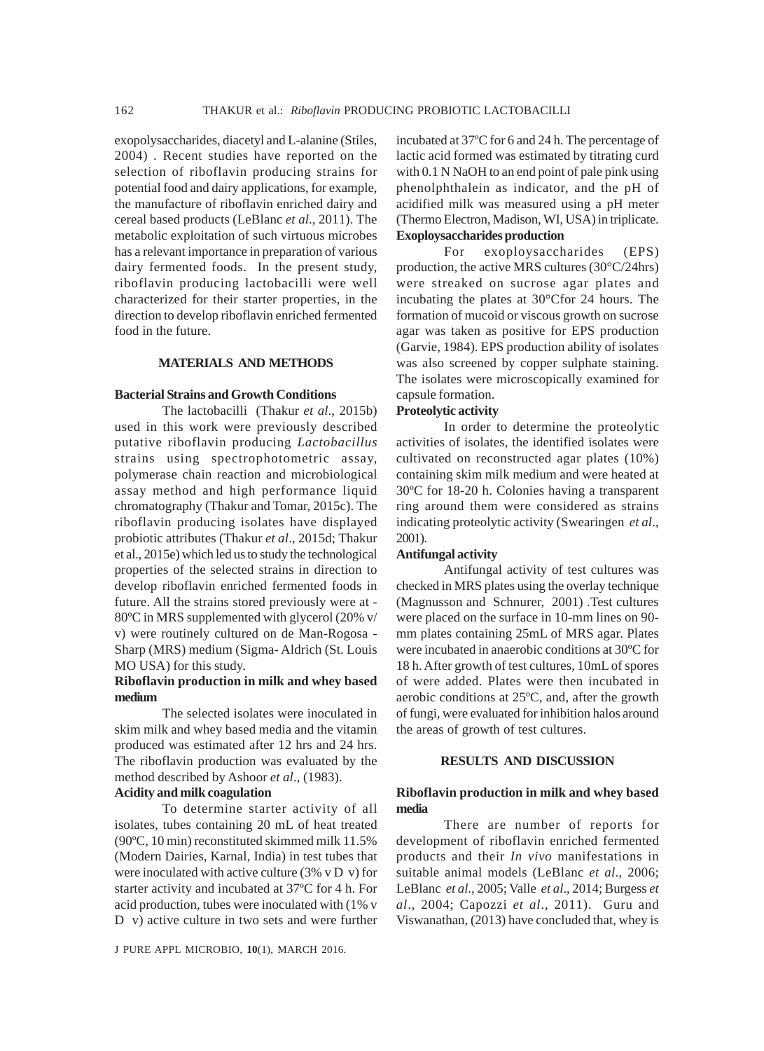exopolysaccharides, diacetyl and L-alanine (Stiles, 2004) . Recent studies have reported on the selection of riboflavin producing strains for potential food and dairy applications, for example, the manufacture of riboflavin enriched dairy and cereal based products (LeBlanc *et al*., 2011). The metabolic exploitation of such virtuous microbes has a relevant importance in preparation of various dairy fermented foods. In the present study, riboflavin producing lactobacilli were well characterized for their starter properties, in the direction to develop riboflavin enriched fermented food in the future.

## **MATERIALS AND METHODS**

#### **Bacterial Strains and Growth Conditions**

The lactobacilli (Thakur *et al*., 2015b) used in this work were previously described putative riboflavin producing *Lactobacillus* strains using spectrophotometric assay, polymerase chain reaction and microbiological assay method and high performance liquid chromatography (Thakur and Tomar, 2015c). The riboflavin producing isolates have displayed probiotic attributes (Thakur *et al*., 2015d; Thakur et al., 2015e) which led us to study the technological properties of the selected strains in direction to develop riboflavin enriched fermented foods in future. All the strains stored previously were at - 80ºC in MRS supplemented with glycerol (20% v/ v) were routinely cultured on de Man-Rogosa - Sharp (MRS) medium (Sigma- Aldrich (St. Louis MO USA) for this study.

## **Riboflavin production in milk and whey based medium**

The selected isolates were inoculated in skim milk and whey based media and the vitamin produced was estimated after 12 hrs and 24 hrs. The riboflavin production was evaluated by the method described by Ashoor *et al*., (1983).

#### **Acidity and milk coagulation**

To determine starter activity of all isolates, tubes containing 20 mL of heat treated (90ºC, 10 min) reconstituted skimmed milk 11.5% (Modern Dairies, Karnal, India) in test tubes that were inoculated with active culture (3% v D v) for starter activity and incubated at 37ºC for 4 h. For acid production, tubes were inoculated with (1% v D v) active culture in two sets and were further

J PURE APPL MICROBIO*,* **10**(1), MARCH 2016.

incubated at 37ºC for 6 and 24 h. The percentage of lactic acid formed was estimated by titrating curd with 0.1 N NaOH to an end point of pale pink using phenolphthalein as indicator, and the pH of acidified milk was measured using a pH meter (Thermo Electron, Madison, WI, USA) in triplicate. **Exoploysaccharides production**

For exoploysaccharides (EPS) production, the active MRS cultures (30°C/24hrs) were streaked on sucrose agar plates and incubating the plates at 30°Cfor 24 hours. The formation of mucoid or viscous growth on sucrose agar was taken as positive for EPS production (Garvie, 1984). EPS production ability of isolates was also screened by copper sulphate staining. The isolates were microscopically examined for capsule formation.

#### **Proteolytic activity**

In order to determine the proteolytic activities of isolates, the identified isolates were cultivated on reconstructed agar plates (10%) containing skim milk medium and were heated at 30ºC for 18-20 h. Colonies having a transparent ring around them were considered as strains indicating proteolytic activity (Swearingen *et al*., 2001).

## **Antifungal activity**

Antifungal activity of test cultures was checked in MRS plates using the overlay technique (Magnusson and Schnurer, 2001) .Test cultures were placed on the surface in 10-mm lines on 90 mm plates containing 25mL of MRS agar. Plates were incubated in anaerobic conditions at 30ºC for 18 h. After growth of test cultures, 10mL of spores of were added. Plates were then incubated in aerobic conditions at 25ºC, and, after the growth of fungi, were evaluated for inhibition halos around the areas of growth of test cultures.

## **RESULTS AND DISCUSSION**

#### **Riboflavin production in milk and whey based media**

There are number of reports for development of riboflavin enriched fermented products and their *In vivo* manifestations in suitable animal models (LeBlanc *et al*., 2006; LeBlanc *et al*., 2005; Valle *et al*., 2014; Burgess *et al*., 2004; Capozzi *et al*., 2011).Guru and Viswanathan, (2013) have concluded that, whey is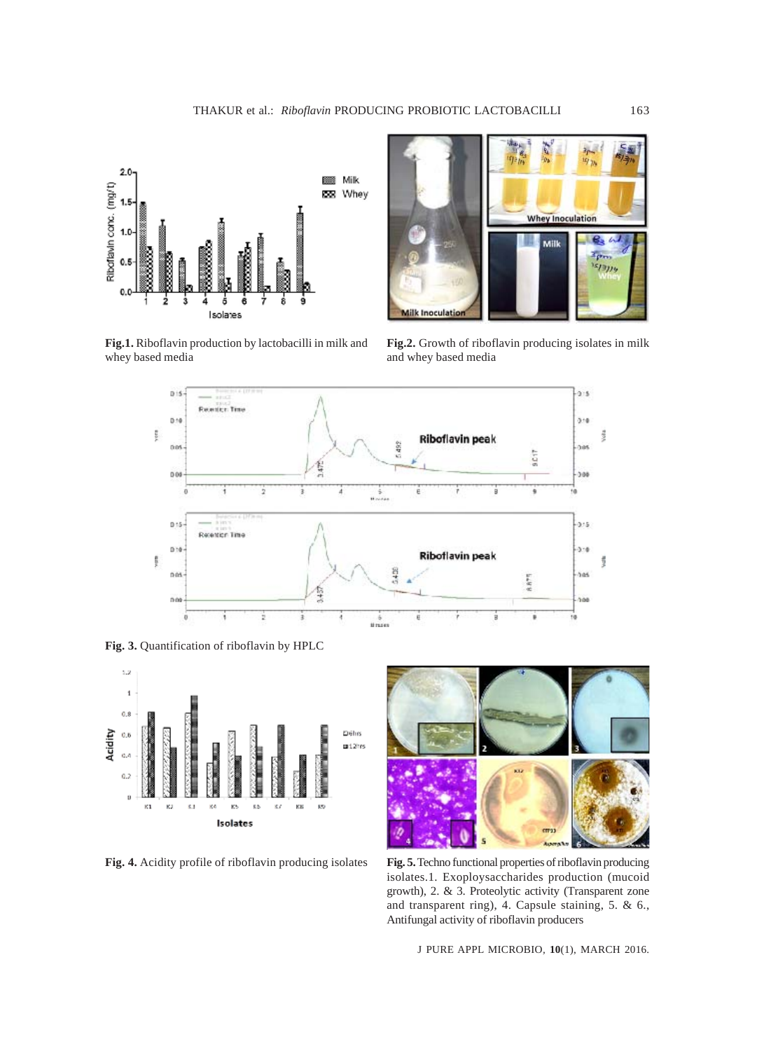

**Fig.1.** Riboflavin production by lactobacilli in milk and whey based media



**Fig.2.** Growth of riboflavin producing isolates in milk and whey based media



**Fig. 3.** Quantification of riboflavin by HPLC





**Fig. 4.** Acidity profile of riboflavin producing isolates **Fig. 5.** Techno functional properties of riboflavin producing isolates.1. Exoploysaccharides production (mucoid growth), 2. & 3. Proteolytic activity (Transparent zone and transparent ring), 4. Capsule staining, 5. & 6., Antifungal activity of riboflavin producers

J PURE APPL MICROBIO*,* **10**(1), MARCH 2016.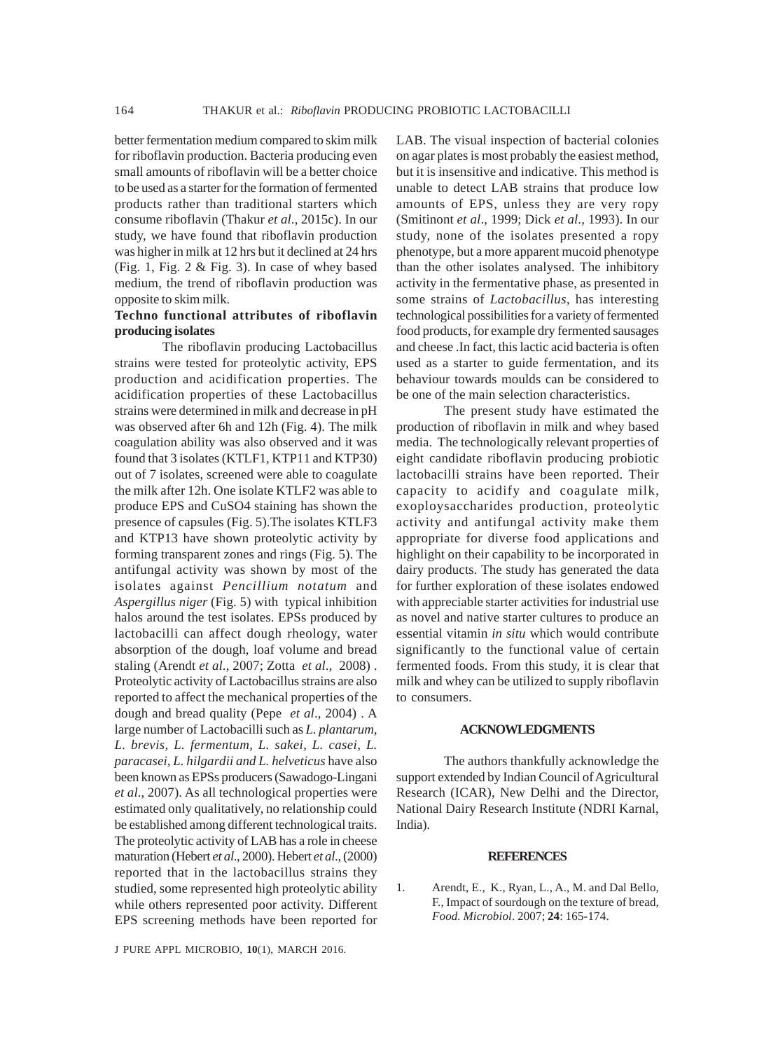better fermentation medium compared to skim milk for riboflavin production. Bacteria producing even small amounts of riboflavin will be a better choice to be used as a starter for the formation of fermented products rather than traditional starters which consume riboflavin (Thakur *et al*., 2015c). In our study, we have found that riboflavin production was higher in milk at 12 hrs but it declined at 24 hrs (Fig. 1, Fig. 2 & Fig. 3). In case of whey based medium, the trend of riboflavin production was opposite to skim milk.

## **Techno functional attributes of riboflavin producing isolates**

The riboflavin producing Lactobacillus strains were tested for proteolytic activity, EPS production and acidification properties. The acidification properties of these Lactobacillus strains were determined in milk and decrease in pH was observed after 6h and 12h (Fig. 4). The milk coagulation ability was also observed and it was found that 3 isolates (KTLF1, KTP11 and KTP30) out of 7 isolates, screened were able to coagulate the milk after 12h. One isolate KTLF2 was able to produce EPS and CuSO4 staining has shown the presence of capsules (Fig. 5).The isolates KTLF3 and KTP13 have shown proteolytic activity by forming transparent zones and rings (Fig. 5). The antifungal activity was shown by most of the isolates against *Pencillium notatum* and *Aspergillus niger* (Fig. 5) with typical inhibition halos around the test isolates. EPSs produced by lactobacilli can affect dough rheology, water absorption of the dough, loaf volume and bread staling (Arendt *et al*., 2007; Zotta *et al*., 2008) . Proteolytic activity of Lactobacillus strains are also reported to affect the mechanical properties of the dough and bread quality (Pepe *et al*., 2004) . A large number of Lactobacilli such as *L. plantarum, L. brevis, L. fermentum, L. sakei, L. casei, L. paracasei, L. hilgardii and L. helveticus* have also been known as EPSs producers (Sawadogo-Lingani *et al*., 2007). As all technological properties were estimated only qualitatively, no relationship could be established among different technological traits. The proteolytic activity of LAB has a role in cheese maturation (Hebert *et al*., 2000). Hebert *et al*., (2000) reported that in the lactobacillus strains they studied, some represented high proteolytic ability while others represented poor activity. Different EPS screening methods have been reported for

J PURE APPL MICROBIO*,* **10**(1), MARCH 2016.

LAB. The visual inspection of bacterial colonies on agar plates is most probably the easiest method, but it is insensitive and indicative. This method is unable to detect LAB strains that produce low amounts of EPS, unless they are very ropy (Smitinont *et al*., 1999; Dick *et al*., 1993). In our study, none of the isolates presented a ropy phenotype, but a more apparent mucoid phenotype than the other isolates analysed. The inhibitory activity in the fermentative phase, as presented in some strains of *Lactobacillus*, has interesting technological possibilities for a variety of fermented food products, for example dry fermented sausages and cheese .In fact, this lactic acid bacteria is often used as a starter to guide fermentation, and its behaviour towards moulds can be considered to be one of the main selection characteristics.

The present study have estimated the production of riboflavin in milk and whey based media. The technologically relevant properties of eight candidate riboflavin producing probiotic lactobacilli strains have been reported. Their capacity to acidify and coagulate milk, exoploysaccharides production, proteolytic activity and antifungal activity make them appropriate for diverse food applications and highlight on their capability to be incorporated in dairy products. The study has generated the data for further exploration of these isolates endowed with appreciable starter activities for industrial use as novel and native starter cultures to produce an essential vitamin *in situ* which would contribute significantly to the functional value of certain fermented foods. From this study, it is clear that milk and whey can be utilized to supply riboflavin to consumers.

#### **ACKNOWLEDGMENTS**

The authors thankfully acknowledge the support extended by Indian Council of Agricultural Research (ICAR), New Delhi and the Director, National Dairy Research Institute (NDRI Karnal, India).

#### **REFERENCES**

1. Arendt, E., K., Ryan, L., A., M. and Dal Bello, F., Impact of sourdough on the texture of bread, *Food. Microbiol*. 2007; **24**: 165-174.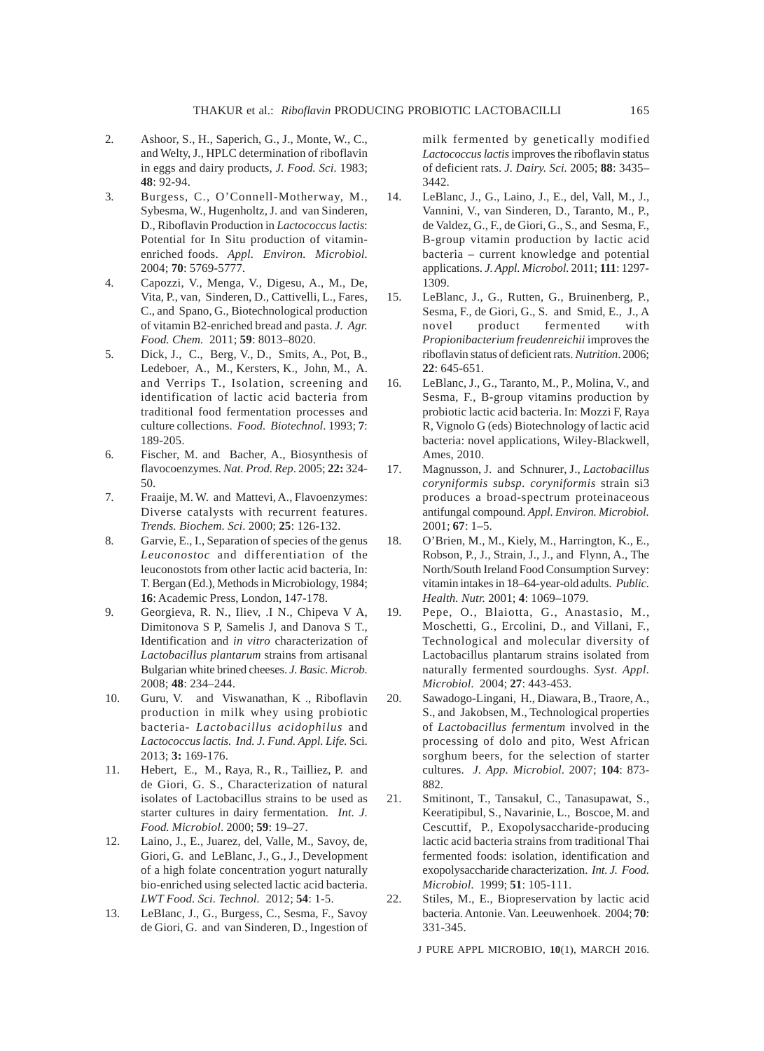- 2. Ashoor, S., H., Saperich, G., J., Monte, W., C., and Welty, J., HPLC determination of riboflavin in eggs and dairy products, *J. Food. Sci.* 1983; **48**: 92-94.
- 3. Burgess, C., O'Connell-Motherway, M., Sybesma, W., Hugenholtz, J. and van Sinderen, D., Riboflavin Production in *Lactococcus lactis*: Potential for In Situ production of vitaminenriched foods. *Appl. Environ. Microbiol.* 2004; **70**: 5769-5777.
- 4. Capozzi, V., Menga, V., Digesu, A., M., De, Vita, P., van, Sinderen, D., Cattivelli, L., Fares, C., and Spano, G., Biotechnological production of vitamin B2-enriched bread and pasta. *J. Agr. Food. Chem.* 2011; **59**: 8013–8020.
- 5. Dick, J., C., Berg, V., D., Smits, A., Pot, B., Ledeboer, A., M., Kersters, K., John, M., A. and Verrips T., Isolation, screening and identification of lactic acid bacteria from traditional food fermentation processes and culture collections. *Food. Biotechnol*. 1993; **7**: 189-205.
- 6. Fischer, M. and Bacher, A., Biosynthesis of flavocoenzymes. *Nat. Prod. Rep*. 2005; **22:** 324- 50.
- 7. Fraaije, M. W. and Mattevi, A., Flavoenzymes: Diverse catalysts with recurrent features. *Trends. Biochem. Sci*. 2000; **25**: 126-132.
- 8. Garvie, E., I., Separation of species of the genus *Leuconostoc* and differentiation of the leuconostots from other lactic acid bacteria, In: T. Bergan (Ed.), Methods in Microbiology, 1984; **16**: Academic Press, London, 147-178.
- 9. Georgieva, R. N., Iliev, .I N., Chipeva V A, Dimitonova S P, Samelis J, and Danova S T., Identification and *in vitro* characterization of *Lactobacillus plantarum* strains from artisanal Bulgarian white brined cheeses. *J. Basic. Microb.* 2008; **48**: 234–244.
- 10. Guru, V. and Viswanathan, K ., Riboflavin production in milk whey using probiotic bacteria- *Lactobacillus acidophilus* and *Lactococcus lactis. Ind. J. Fund. Appl. Life.* Sci. 2013; **3:** 169-176.
- 11. Hebert, E., M., Raya, R., R., Tailliez, P. and de Giori, G. S., Characterization of natural isolates of Lactobacillus strains to be used as starter cultures in dairy fermentation*. Int. J. Food. Microbiol*. 2000; **59**: 19–27.
- 12. Laino, J., E., Juarez, del, Valle, M., Savoy, de, Giori, G. and LeBlanc, J., G., J., Development of a high folate concentration yogurt naturally bio-enriched using selected lactic acid bacteria. *LWT Food. Sci. Technol.* 2012; **54**: 1-5.
- 13. LeBlanc, J., G., Burgess, C., Sesma, F., Savoy de Giori, G. and van Sinderen, D., Ingestion of

milk fermented by genetically modified *Lactococcus lactis* improves the riboflavin status of deficient rats. *J. Dairy. Sci.* 2005; **88**: 3435– 3442.

- 14. LeBlanc, J., G., Laino, J., E., del, Vall, M., J., Vannini, V., van Sinderen, D., Taranto, M., P., de Valdez, G., F., de Giori, G., S., and Sesma, F., B-group vitamin production by lactic acid bacteria – current knowledge and potential applications. *J. Appl. Microbol.* 2011; **111**: 1297- 1309.
- 15. LeBlanc, J., G., Rutten, G., Bruinenberg, P., Sesma, F., de Giori, G., S. and Smid, E., J., A novel product fermented with *Propionibacterium freudenreichii* improves the riboflavin status of deficient rats. *Nutrition*. 2006; **22**: 645-651.
- 16. LeBlanc, J., G., Taranto, M., P., Molina, V., and Sesma, F., B-group vitamins production by probiotic lactic acid bacteria. In: Mozzi F, Raya R, Vignolo G (eds) Biotechnology of lactic acid bacteria: novel applications, Wiley-Blackwell, Ames, 2010.
- 17. Magnusson, J. and Schnurer, J., *Lactobacillus coryniformis subsp. coryniformis* strain si3 produces a broad-spectrum proteinaceous antifungal compound. *Appl. Environ. Microbiol.* 2001; **67**: 1–5.
- 18. O'Brien, M., M., Kiely, M., Harrington, K., E., Robson, P., J., Strain, J., J., and Flynn, A., The North/South Ireland Food Consumption Survey: vitamin intakes in 18–64-year-old adults. *Public. Health. Nutr.* 2001; **4**: 1069–1079.
- 19. Pepe, O., Blaiotta, G., Anastasio, M., Moschetti, G., Ercolini, D., and Villani, F., Technological and molecular diversity of Lactobacillus plantarum strains isolated from naturally fermented sourdoughs. *Syst. Appl. Microbiol.* 2004; **27**: 443-453.
- 20. Sawadogo-Lingani, H., Diawara, B., Traore, A., S., and Jakobsen, M., Technological properties of *Lactobacillus fermentum* involved in the processing of dolo and pito, West African sorghum beers, for the selection of starter cultures. *J. App. Microbiol*. 2007; **104**: 873- 882.
- 21. Smitinont, T., Tansakul, C., Tanasupawat, S., Keeratipibul, S., Navarinie, L., Boscoe, M. and Cescuttif, P., Exopolysaccharide-producing lactic acid bacteria strains from traditional Thai fermented foods: isolation, identification and exopolysaccharide characterization. *Int. J. Food. Microbiol.* 1999; **51**: 105-111.
- 22. Stiles, M., E., Biopreservation by lactic acid bacteria. Antonie. Van. Leeuwenhoek. 2004; **70**: 331-345.

J PURE APPL MICROBIO*,* **10**(1), MARCH 2016.